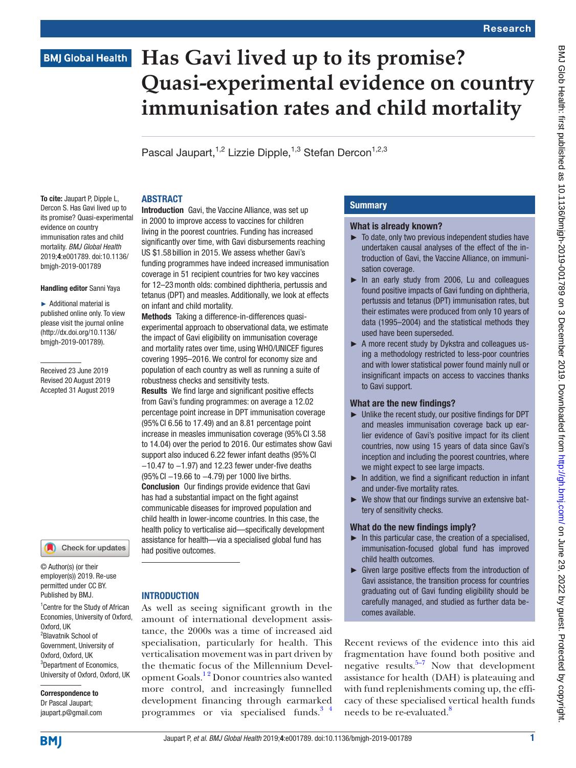# **Has Gavi lived up to its promise? Quasi-experimental evidence on country immunisation rates and child mortality**

Pascal Jaupart,<sup>1,2</sup> Lizzie Dipple,<sup>1,3</sup> Stefan Dercon<sup>1,2,3</sup>

# **ABSTRACT**

To cite: Jaupart P, Dipple L. Dercon S. Has Gavi lived up to its promise? Quasi-experimental evidence on country immunisation rates and child mortality. *BMJ Global Health* 2019;4:e001789. doi:10.1136/ bmjgh-2019-001789

#### Handling editor Sanni Yaya

► Additional material is published online only. To view please visit the journal online (http://dx.doi.org/10.1136/ bmjgh-2019-001789).

Received 23 June 2019 Revised 20 August 2019 Accepted 31 August 2019



© Author(s) (or their employer(s)) 2019. Re-use permitted under CC BY. Published by BMJ.

1 Centre for the Study of African Economies, University of Oxford, Oxford, UK 2 Blavatnik School of Government, University of Oxford, Oxford, UK <sup>3</sup>Department of Economics, University of Oxford, Oxford, UK

Correspondence to Dr Pascal Jaupart; jaupart.p@gmail.com

Introduction Gavi, the Vaccine Alliance, was set up in 2000 to improve access to vaccines for children living in the poorest countries. Funding has increased significantly over time, with Gavi disbursements reaching US \$1.58 billion in 2015. We assess whether Gavi's funding programmes have indeed increased immunisation coverage in 51 recipient countries for two key vaccines for 12–23month olds: combined diphtheria, pertussis and tetanus (DPT) and measles. Additionally, we look at effects on infant and child mortality.

Methods Taking a difference-in-differences quasiexperimental approach to observational data, we estimate the impact of Gavi eligibility on immunisation coverage and mortality rates over time, using WHO/UNICEF figures covering 1995–2016. We control for economy size and population of each country as well as running a suite of robustness checks and sensitivity tests.

Results We find large and significant positive effects from Gavi's funding programmes: on average a 12.02 percentage point increase in DPT immunisation coverage (95%CI 6.56 to 17.49) and an 8.81 percentage point increase in measles immunisation coverage (95%CI 3.58 to 14.04) over the period to 2016. Our estimates show Gavi support also induced 6.22 fewer infant deaths (95% CI −10.47 to −1.97) and 12.23 fewer under-five deaths (95%CI −19.66 to −4.79) per 1000 live births. Conclusion Our findings provide evidence that Gavi has had a substantial impact on the fight against communicable diseases for improved population and child health in lower-income countries. In this case, the health policy to verticalise aid—specifically development assistance for health—via a specialised global fund has had positive outcomes.

# **INTRODUCTION**

As well as seeing significant growth in the amount of international development assistance, the 2000s was a time of increased aid specialisation, particularly for health. This verticalisation movement was in part driven by the thematic focus of the Millennium Development Goals.<sup>12</sup> Donor countries also wanted more control, and increasingly funnelled development financing through earmarked programmes or via specialised funds. $3<sup>4</sup>$ 

# **Summary**

## What is already known?

- ► To date, only two previous independent studies have undertaken causal analyses of the effect of the introduction of Gavi, the Vaccine Alliance, on immunisation coverage.
- ► In an early study from 2006, Lu and colleagues found positive impacts of Gavi funding on diphtheria, pertussis and tetanus (DPT) immunisation rates, but their estimates were produced from only 10 years of data (1995–2004) and the statistical methods they used have been superseded.
- ► A more recent study by Dykstra and colleagues using a methodology restricted to less-poor countries and with lower statistical power found mainly null or insignificant impacts on access to vaccines thanks to Gavi support.

### What are the new findings?

- ► Unlike the recent study, our positive findings for DPT and measles immunisation coverage back up earlier evidence of Gavi's positive impact for its client countries, now using 15 years of data since Gavi's inception and including the poorest countries, where we might expect to see large impacts.
- ► In addition, we find a significant reduction in infant and under-five mortality rates.
- ► We show that our findings survive an extensive battery of sensitivity checks.

# What do the new findings imply?

- $\blacktriangleright$  In this particular case, the creation of a specialised, immunisation-focused global fund has improved child health outcomes.
- ► Given large positive effects from the introduction of Gavi assistance, the transition process for countries graduating out of Gavi funding eligibility should be carefully managed, and studied as further data becomes available.

Recent reviews of the evidence into this aid fragmentation have found both positive and negative results. $5-7$  Now that development assistance for health (DAH) is plateauing and with fund replenishments coming up, the efficacy of these specialised vertical health funds needs to be re-evaluated.<sup>8</sup>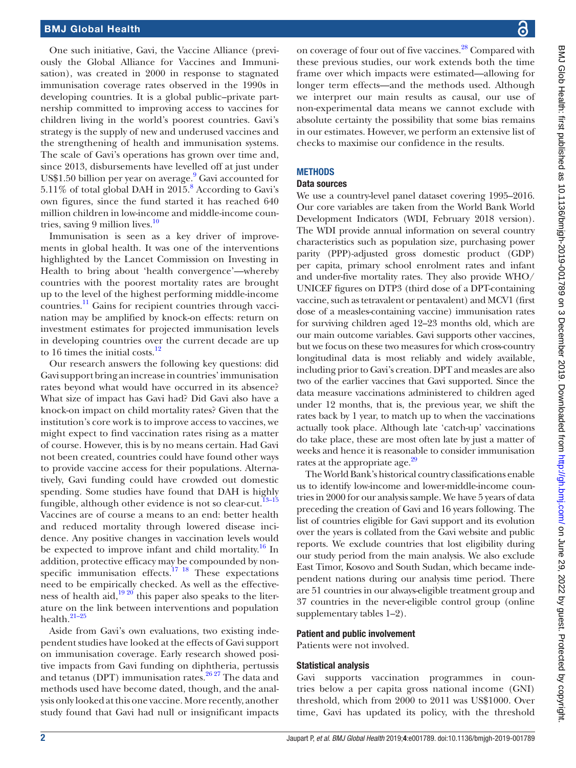One such initiative, Gavi, the Vaccine Alliance (previously the Global Alliance for Vaccines and Immunisation), was created in 2000 in response to stagnated immunisation coverage rates observed in the 1990s in developing countries. It is a global public–private partnership committed to improving access to vaccines for children living in the world's poorest countries. Gavi's strategy is the supply of new and underused vaccines and the strengthening of health and immunisation systems. The scale of Gavi's operations has grown over time and, since 2013, disbursements have levelled off at just under US\$1.50 billion per year on average.<sup>[9](#page-9-4)</sup> Gavi accounted for 5.11% of total global DAH in 2015.<sup>[8](#page-9-3)</sup> According to Gavi's own figures, since the fund started it has reached 640 million children in low-income and middle-income countries, saving 9 million lives. $10$ 

Immunisation is seen as a key driver of improvements in global health. It was one of the interventions highlighted by the Lancet Commission on Investing in Health to bring about 'health convergence'—whereby countries with the poorest mortality rates are brought up to the level of the highest performing middle-income countries[.11](#page-9-6) Gains for recipient countries through vaccination may be amplified by knock-on effects: return on investment estimates for projected immunisation levels in developing countries over the current decade are up to 16 times the initial costs.<sup>12</sup>

Our research answers the following key questions: did Gavi support bring an increase in countries' immunisation rates beyond what would have occurred in its absence? What size of impact has Gavi had? Did Gavi also have a knock-on impact on child mortality rates? Given that the institution's core work is to improve access to vaccines, we might expect to find vaccination rates rising as a matter of course. However, this is by no means certain. Had Gavi not been created, countries could have found other ways to provide vaccine access for their populations. Alternatively, Gavi funding could have crowded out domestic spending. Some studies have found that DAH is highly fungible, although other evidence is not so clear-cut.<sup>13-15</sup> Vaccines are of course a means to an end: better health and reduced mortality through lowered disease incidence. Any positive changes in vaccination levels would be expected to improve infant and child mortality.<sup>16</sup> In addition, protective efficacy may be compounded by nonspecific immunisation effects.<sup>17</sup> <sup>18</sup> These expectations need to be empirically checked. As well as the effectiveness of health aid,<sup>19 20</sup> this paper also speaks to the literature on the link between interventions and population health. $21-25$ 

Aside from Gavi's own evaluations, two existing independent studies have looked at the effects of Gavi support on immunisation coverage. Early research showed positive impacts from Gavi funding on diphtheria, pertussis and tetanus (DPT) immunisation rates.<sup>[26 27](#page-10-1)</sup> The data and methods used have become dated, though, and the analysis only looked at this one vaccine. More recently, another study found that Gavi had null or insignificant impacts

on coverage of four out of five vaccines[.28](#page-10-2) Compared with these previous studies, our work extends both the time frame over which impacts were estimated—allowing for longer term effects—and the methods used. Although we interpret our main results as causal, our use of non-experimental data means we cannot exclude with absolute certainty the possibility that some bias remains in our estimates. However, we perform an extensive list of checks to maximise our confidence in the results.

#### **METHODS**

#### Data sources

We use a country-level panel dataset covering 1995–2016. Our core variables are taken from the World Bank World Development Indicators (WDI, February 2018 version). The WDI provide annual information on several country characteristics such as population size, purchasing power parity (PPP)-adjusted gross domestic product (GDP) per capita, primary school enrolment rates and infant and under-five mortality rates. They also provide WHO/ UNICEF figures on DTP3 (third dose of a DPT-containing vaccine, such as tetravalent or pentavalent) and MCV1 (first dose of a measles-containing vaccine) immunisation rates for surviving children aged 12–23 months old, which are our main outcome variables. Gavi supports other vaccines, but we focus on these two measures for which cross-country longitudinal data is most reliably and widely available, including prior to Gavi's creation. DPT and measles are also two of the earlier vaccines that Gavi supported. Since the data measure vaccinations administered to children aged under 12 months, that is, the previous year, we shift the rates back by 1 year, to match up to when the vaccinations actually took place. Although late 'catch-up' vaccinations do take place, these are most often late by just a matter of weeks and hence it is reasonable to consider immunisation rates at the appropriate age.<sup>29</sup>

The World Bank's historical country classifications enable us to identify low-income and lower-middle-income countries in 2000 for our analysis sample. We have 5 years of data preceding the creation of Gavi and 16 years following. The list of countries eligible for Gavi support and its evolution over the years is collated from the Gavi website and public reports. We exclude countries that lost eligibility during our study period from the main analysis. We also exclude East Timor, Kosovo and South Sudan, which became independent nations during our analysis time period. There are 51 countries in our always-eligible treatment group and 37 countries in the never-eligible control group ([online](https://dx.doi.org/10.1136/bmjgh-2019-001789) [supplementary tables 1–2\)](https://dx.doi.org/10.1136/bmjgh-2019-001789).

#### Patient and public involvement

Patients were not involved.

#### Statistical analysis

Gavi supports vaccination programmes in countries below a per capita gross national income (GNI) threshold, which from 2000 to 2011 was US\$1000. Over time, Gavi has updated its policy, with the threshold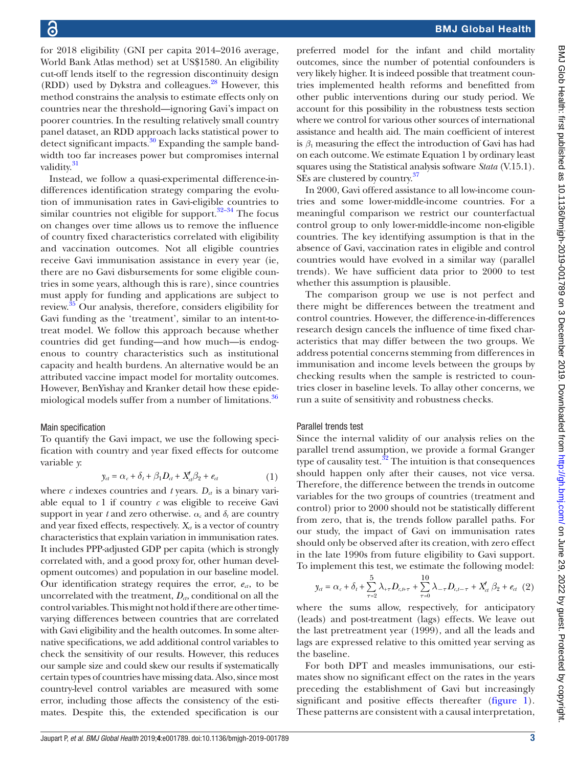for 2018 eligibility (GNI per capita 2014–2016 average, World Bank Atlas method) set at US\$1580. An eligibility cut-off lends itself to the regression discontinuity design  $(RDD)$  used by Dykstra and colleagues.<sup>28</sup> However, this method constrains the analysis to estimate effects only on countries near the threshold—ignoring Gavi's impact on poorer countries. In the resulting relatively small country panel dataset, an RDD approach lacks statistical power to detect significant impacts. $30$  Expanding the sample bandwidth too far increases power but compromises internal validity.<sup>[31](#page-10-5)</sup>

Instead, we follow a quasi-experimental difference-indifferences identification strategy comparing the evolution of immunisation rates in Gavi-eligible countries to similar countries not eligible for support.<sup>32-34</sup> The focus on changes over time allows us to remove the influence of country fixed characteristics correlated with eligibility and vaccination outcomes. Not all eligible countries receive Gavi immunisation assistance in every year (ie, there are no Gavi disbursements for some eligible countries in some years, although this is rare), since countries must apply for funding and applications are subject to review.[35](#page-10-7) Our analysis, therefore, considers eligibility for Gavi funding as the 'treatment', similar to an intent-totreat model. We follow this approach because whether countries did get funding—and how much—is endogenous to country characteristics such as institutional capacity and health burdens. An alternative would be an attributed vaccine impact model for mortality outcomes. However, BenYishay and Kranker detail how these epide-miological models suffer from a number of limitations.<sup>[36](#page-10-8)</sup>

### Main specification

To quantify the Gavi impact, we use the following specification with country and year fixed effects for outcome variable *y*:

$$
y_{ct} = \alpha_c + \delta_t + \beta_1 D_{ct} + X_{ct}' \beta_2 + e_{ct}
$$
 (1)

where  $c$  indexes countries and  $t$  years.  $D_{ct}$  is a binary variable equal to 1 if country  $c$  was eligible to receive Gavi support in year *t* and zero otherwise.  $\alpha_c$  and  $\delta_t$  are country and year fixed effects, respectively.  $X_{\alpha}$  is a vector of country characteristics that explain variation in immunisation rates. It includes PPP-adjusted GDP per capita (which is strongly correlated with, and a good proxy for, other human development outcomes) and population in our baseline model. Our identification strategy requires the error,  $e_{ct}$ , to be uncorrelated with the treatment,  $D_{\alpha}$ , conditional on all the control variables. This might not hold if there are other timevarying differences between countries that are correlated with Gavi eligibility and the health outcomes. In some alternative specifications, we add additional control variables to check the sensitivity of our results. However, this reduces our sample size and could skew our results if systematically certain types of countries have missing data. Also, since most country-level control variables are measured with some error, including those affects the consistency of the estimates. Despite this, the extended specification is our

preferred model for the infant and child mortality outcomes, since the number of potential confounders is very likely higher. It is indeed possible that treatment countries implemented health reforms and benefitted from other public interventions during our study period. We account for this possibility in the robustness tests section where we control for various other sources of international assistance and health aid. The main coefficient of interest is *β*1 measuring the effect the introduction of Gavi has had on each outcome. We estimate Equation 1 by ordinary least squares using the Statistical analysis software *Stata* (V.15.1). SEs are clustered by country.<sup>[37](#page-10-9)</sup>

In 2000, Gavi offered assistance to all low-income countries and some lower-middle-income countries. For a meaningful comparison we restrict our counterfactual control group to only lower-middle-income non-eligible countries. The key identifying assumption is that in the absence of Gavi, vaccination rates in eligible and control countries would have evolved in a similar way (parallel trends). We have sufficient data prior to 2000 to test whether this assumption is plausible.

The comparison group we use is not perfect and there might be differences between the treatment and control countries. However, the difference-in-differences research design cancels the influence of time fixed characteristics that may differ between the two groups. We address potential concerns stemming from differences in immunisation and income levels between the groups by checking results when the sample is restricted to countries closer in baseline levels. To allay other concerns, we run a suite of sensitivity and robustness checks.

# Parallel trends test

Since the internal validity of our analysis relies on the parallel trend assumption, we provide a formal Granger type of causality test. $32$  The intuition is that consequences should happen only after their causes, not vice versa. Therefore, the difference between the trends in outcome variables for the two groups of countries (treatment and control) prior to 2000 should not be statistically different from zero, that is, the trends follow parallel paths. For our study, the impact of Gavi on immunisation rates should only be observed after its creation, with zero effect in the late 1990s from future eligibility to Gavi support. To implement this test, we estimate the following model:

$$
y_{ct} = \alpha_c + \delta_t + \sum_{\tau=2}^{5} \lambda_{+\tau} D_{c,\mu\tau} + \sum_{\tau=0}^{10} \lambda_{-\tau} D_{c,\mu-\tau} + X_{ct}' \beta_2 + e_{ct} (2)
$$

where the sums allow, respectively, for anticipatory (leads) and post-treatment (lags) effects. We leave out the last pretreatment year (1999), and all the leads and lags are expressed relative to this omitted year serving as the baseline.

For both DPT and measles immunisations, our estimates show no significant effect on the rates in the years preceding the establishment of Gavi but increasingly significant and positive effects thereafter ([figure](#page-3-0) 1). These patterns are consistent with a causal interpretation,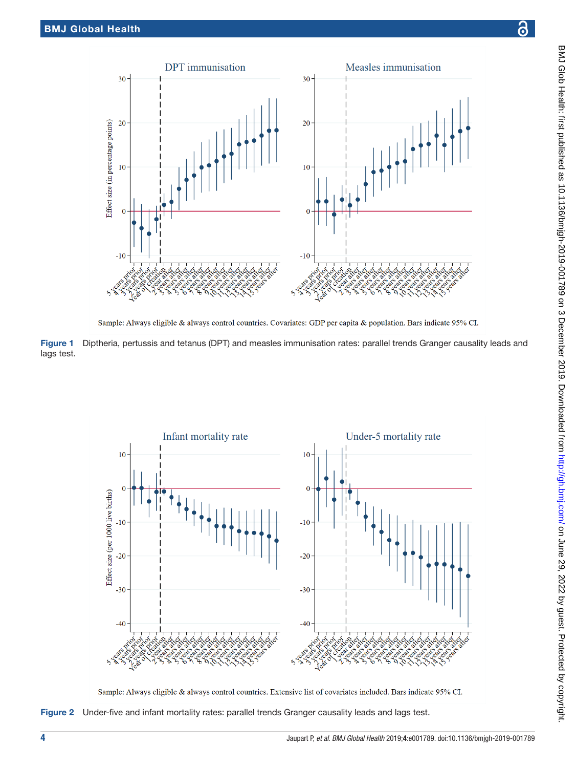

<span id="page-3-0"></span>Sample: Always eligible & always control countries. Covariates: GDP per capita & population. Bars indicate 95% CI.

Figure 1 Diptheria, pertussis and tetanus (DPT) and measles immunisation rates: parallel trends Granger causality leads and lags test.



<span id="page-3-1"></span>Sample: Always eligible & always control countries. Extensive list of covariates included. Bars indicate 95% CI.

Figure 2 Under-five and infant mortality rates: parallel trends Granger causality leads and lags test.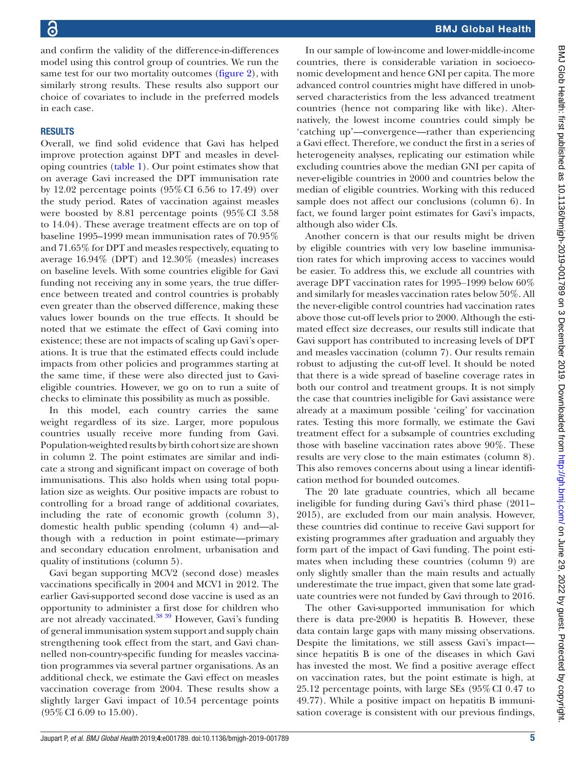and confirm the validity of the difference-in-differences model using this control group of countries. We run the same test for our two mortality outcomes ([figure](#page-3-1) 2), with similarly strong results. These results also support our choice of covariates to include in the preferred models in each case.

# **RESULTS**

Overall, we find solid evidence that Gavi has helped improve protection against DPT and measles in developing countries [\(table](#page-5-0) 1). Our point estimates show that on average Gavi increased the DPT immunisation rate by 12.02 percentage points (95%CI 6.56 to 17.49) over the study period. Rates of vaccination against measles were boosted by 8.81 percentage points (95%CI 3.58 to 14.04). These average treatment effects are on top of baseline 1995–1999 mean immunisation rates of 70.95% and 71.65% for DPT and measles respectively, equating to average 16.94% (DPT) and 12.30% (measles) increases on baseline levels. With some countries eligible for Gavi funding not receiving any in some years, the true difference between treated and control countries is probably even greater than the observed difference, making these values lower bounds on the true effects. It should be noted that we estimate the effect of Gavi coming into existence; these are not impacts of scaling up Gavi's operations. It is true that the estimated effects could include impacts from other policies and programmes starting at the same time, if these were also directed just to Gavieligible countries. However, we go on to run a suite of checks to eliminate this possibility as much as possible.

In this model, each country carries the same weight regardless of its size. Larger, more populous countries usually receive more funding from Gavi. Population-weighted results by birth cohort size are shown in column 2. The point estimates are similar and indicate a strong and significant impact on coverage of both immunisations. This also holds when using total population size as weights. Our positive impacts are robust to controlling for a broad range of additional covariates, including the rate of economic growth (column 3), domestic health public spending (column 4) and—although with a reduction in point estimate—primary and secondary education enrolment, urbanisation and quality of institutions (column 5).

Gavi began supporting MCV2 (second dose) measles vaccinations specifically in 2004 and MCV1 in 2012. The earlier Gavi-supported second dose vaccine is used as an opportunity to administer a first dose for children who are not already vaccinated[.38 39](#page-10-10) However, Gavi's funding of general immunisation system support and supply chain strengthening took effect from the start, and Gavi channelled non-country-specific funding for measles vaccination programmes via several partner organisations. As an additional check, we estimate the Gavi effect on measles vaccination coverage from 2004. These results show a slightly larger Gavi impact of 10.54 percentage points (95%CI 6.09 to 15.00).

In our sample of low-income and lower-middle-income countries, there is considerable variation in socioeconomic development and hence GNI per capita. The more advanced control countries might have differed in unobserved characteristics from the less advanced treatment countries (hence not comparing like with like). Alternatively, the lowest income countries could simply be 'catching up'—convergence—rather than experiencing a Gavi effect. Therefore, we conduct the first in a series of heterogeneity analyses, replicating our estimation while excluding countries above the median GNI per capita of never-eligible countries in 2000 and countries below the median of eligible countries. Working with this reduced sample does not affect our conclusions (column 6). In fact, we found larger point estimates for Gavi's impacts, although also wider CIs.

Another concern is that our results might be driven by eligible countries with very low baseline immunisation rates for which improving access to vaccines would be easier. To address this, we exclude all countries with average DPT vaccination rates for 1995–1999 below  $60\%$ and similarly for measles vaccination rates below 50%. All the never-eligible control countries had vaccination rates above those cut-off levels prior to 2000. Although the estimated effect size decreases, our results still indicate that Gavi support has contributed to increasing levels of DPT and measles vaccination (column 7). Our results remain robust to adjusting the cut-off level. It should be noted that there is a wide spread of baseline coverage rates in both our control and treatment groups. It is not simply the case that countries ineligible for Gavi assistance were already at a maximum possible 'ceiling' for vaccination rates. Testing this more formally, we estimate the Gavi treatment effect for a subsample of countries excluding those with baseline vaccination rates above 90%. These results are very close to the main estimates (column 8). This also removes concerns about using a linear identification method for bounded outcomes.

The 20 late graduate countries, which all became ineligible for funding during Gavi's third phase (2011– 2015), are excluded from our main analysis. However, these countries did continue to receive Gavi support for existing programmes after graduation and arguably they form part of the impact of Gavi funding. The point estimates when including these countries (column 9) are only slightly smaller than the main results and actually underestimate the true impact, given that some late graduate countries were not funded by Gavi through to 2016.

The other Gavi-supported immunisation for which there is data pre-2000 is hepatitis B. However, these data contain large gaps with many missing observations. Despite the limitations, we still assess Gavi's impact since hepatitis B is one of the diseases in which Gavi has invested the most. We find a positive average effect on vaccination rates, but the point estimate is high, at 25.12 percentage points, with large SEs (95%CI 0.47 to 49.77). While a positive impact on hepatitis B immunisation coverage is consistent with our previous findings,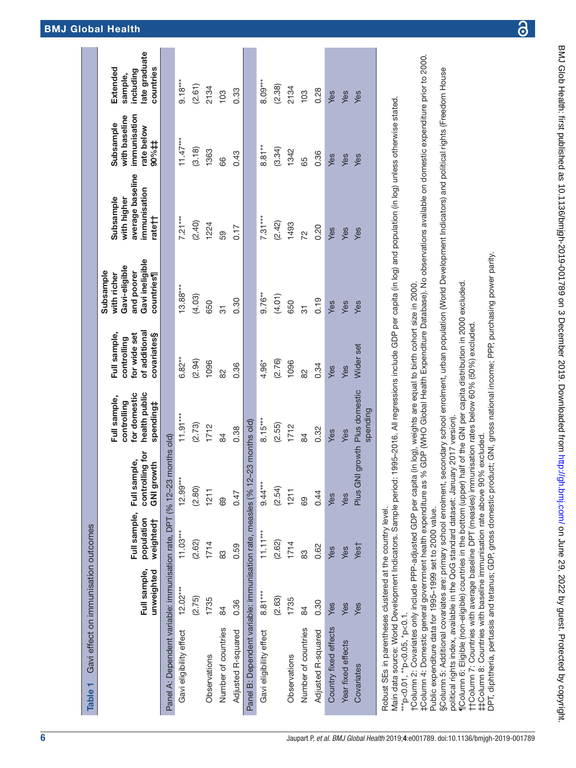| Table 1                                                                                                                                                                                                                                                                                                                                                                                            | Gavi effect on immunisation outcomes |                                         |                                                      |                                                                           |                                                                             |                                                                                          |                                                                        |                                                                  |                                                               |
|----------------------------------------------------------------------------------------------------------------------------------------------------------------------------------------------------------------------------------------------------------------------------------------------------------------------------------------------------------------------------------------------------|--------------------------------------|-----------------------------------------|------------------------------------------------------|---------------------------------------------------------------------------|-----------------------------------------------------------------------------|------------------------------------------------------------------------------------------|------------------------------------------------------------------------|------------------------------------------------------------------|---------------------------------------------------------------|
|                                                                                                                                                                                                                                                                                                                                                                                                    | Full sample,<br>unweighted           | Full sample,<br>population<br>weighted† | controlling for<br>Full sample,<br><b>GNI growth</b> | health public<br>for domestic<br>Full sample,<br>controlling<br>spending‡ | of additional<br>Full sample,<br>for wide set<br>covariates§<br>controlling | Gavi ineligible<br>Gavi-eligible<br>Subsample<br>and poorer<br>with richer<br>countries¶ | average baseline<br>immunisation<br>Subsample<br>with higher<br>rate†† | immunisation<br>with baseline<br>Subsample<br>rate below<br>90%# | ate graduate<br>countries<br>Extended<br>including<br>sample, |
| Panel A: Dependent variable: immunisation rate, DPT (% 12-23                                                                                                                                                                                                                                                                                                                                       |                                      |                                         | months old)                                          |                                                                           |                                                                             |                                                                                          |                                                                        |                                                                  |                                                               |
| Gavi eligibility effect                                                                                                                                                                                                                                                                                                                                                                            | $12.02***$                           | $11.03***$                              | $12.99***$                                           | $11.91***$                                                                | $6.82***$                                                                   | $13.88***$                                                                               | $7.21***$                                                              | $11.47***$                                                       | $9.18***$                                                     |
|                                                                                                                                                                                                                                                                                                                                                                                                    | (2.75)                               | (2.62)                                  | (2.80)                                               | (2.73)                                                                    | (2.94)                                                                      | (4.03)                                                                                   | (2.40)                                                                 | (3.18)                                                           | (2.61)                                                        |
| Observations                                                                                                                                                                                                                                                                                                                                                                                       | 1735                                 | 1714                                    | 1211                                                 | 1712                                                                      | 1096                                                                        | 650                                                                                      | 1224                                                                   | 1363                                                             | 2134                                                          |
| Number of countries                                                                                                                                                                                                                                                                                                                                                                                | 84                                   | 83                                      | 69                                                   | 84                                                                        | $\approx$                                                                   | 75                                                                                       | 59                                                                     | 66                                                               | 103                                                           |
| Adjusted R-squared                                                                                                                                                                                                                                                                                                                                                                                 | 0.36                                 | 0.59                                    | 0.47                                                 | 0.38                                                                      | 0.36                                                                        | 0.30                                                                                     | 0.17                                                                   | 0.43                                                             | 0.33                                                          |
| Panel B: Dependent variable: immunisation rate, measles (% 12                                                                                                                                                                                                                                                                                                                                      |                                      |                                         | $-23$ months old)                                    |                                                                           |                                                                             |                                                                                          |                                                                        |                                                                  |                                                               |
| Gavi eligibility effect                                                                                                                                                                                                                                                                                                                                                                            | $8.81***$                            | $11.11***$                              | $9.44***$                                            | $8.15***$                                                                 | 4.96*                                                                       | $9.76***$                                                                                | $7.31***$                                                              | $8.81**$                                                         | 8.09***                                                       |
|                                                                                                                                                                                                                                                                                                                                                                                                    | (2.63)                               | (2.62)                                  | (2.54)                                               | (2.55)                                                                    | (2.76)                                                                      | (4.01)                                                                                   | (2.42)                                                                 | (3.34)                                                           | (2.38)                                                        |
| Observations                                                                                                                                                                                                                                                                                                                                                                                       | 1735                                 | 1714                                    | 1211                                                 | 1712                                                                      | 1096                                                                        | 650                                                                                      | 1493                                                                   | 1342                                                             | 2134                                                          |
| Number of countries                                                                                                                                                                                                                                                                                                                                                                                | 84                                   | 83                                      | 89                                                   | 84                                                                        | $\frac{2}{8}$                                                               | 51                                                                                       | 72                                                                     | 65                                                               | 103                                                           |
| Adjusted R-squared                                                                                                                                                                                                                                                                                                                                                                                 | 0.30                                 | 0.62                                    | 0.44                                                 | 0.32                                                                      | 0.34                                                                        | 0.19                                                                                     | 0.20                                                                   | 0.36                                                             | 0.28                                                          |
| Country fixed effects                                                                                                                                                                                                                                                                                                                                                                              | Yes                                  | Yes                                     | Yes                                                  | Yes                                                                       | Yes                                                                         | Yes                                                                                      | Yes                                                                    | Yes                                                              | Yes                                                           |
| Year fixed effects                                                                                                                                                                                                                                                                                                                                                                                 | Yes                                  | Yes                                     | Yes                                                  | Yes                                                                       | Yes                                                                         | Yes                                                                                      | Yes                                                                    | Yes                                                              | Yes                                                           |
| Covariates                                                                                                                                                                                                                                                                                                                                                                                         | Yes                                  | Yest                                    | Plus GNI growth Plus domestic                        | spending                                                                  | Wider set                                                                   | Yes                                                                                      | Yes                                                                    | Yes                                                              | Yes                                                           |
| Main data source: World Development Indicators. Sample period: 1995-2016. All regressions include GDP per capita (in log) and population (in log) unless otherwise stated.<br>tColumn 2: Covariates only include PPP-adjusted GDP per capita (in log), weights are equal to birth cohort size in 2000.<br>Robust SEs in parentheses clustered at the country level<br>***p<0.01, **p<0.05, *p<0.1. |                                      |                                         |                                                      |                                                                           |                                                                             |                                                                                          |                                                                        |                                                                  |                                                               |

‡Column 4: Domestic general government health expenditure as % GDP (WHO Global Health Expenditure Database). No observations available on domestic expenditure prior to 2000. ‡Column 4: Domestic general government health expenditure as % GDP (WHO Global Health Expenditure Database). No observations available on domestic expenditure prior to 2000. Public expenditure data for 1995-1999 set to 2000 value. Public expenditure data for 1995–1999 set to 2000 value.

§Column 5: Additional covariates are: primary school enrolment, secondary school enrolment, urban population (World Development Indicators) and political rights (Freedom House §Column 5: Additional covariates are: primary school enrolment, secondary school enrolment, urban population (World Development Indicators) and political rights (Freedom House political rights index, available in the QoG standard dataset: January 2017 version). political rights index, available in the QoG standard dataset: January 2017 version).

[Column 6: Eligible (non-eligible) countries in the bottom (upper) half of the GNI per capita distribution in 2000 excluded. ¶Column 6: Eligible (non-eligible) countries in the bottom (upper) half of the GNI per capita distribution in 2000 excluded.

TColumn 7: Countries with average baseline DPT (measles) immunisation rates below 60% (50%) excluded. ††Column 7: Countries with average baseline DPT (measles) immunisation rates below 60% (50%) excluded.

<span id="page-5-0"></span>t‡Column 8: Countries with baseline immunisation rate above 90% excluded. ‡‡Column 8: Countries with baseline immunisation rate above 90% excluded.

DPT, diphtheria, pertussis and tetanus; GDP, gross domestic product; GNI, gross national income; PPP, purchasing power parity. DPT, diphtheria, pertussis and tetanus; GDP, gross domestic product; GNI, gross national income; PPP, purchasing power parity.

BMJ Glob Health: first published as 10.1136/bmjgh-2019-001789 on 3 December 2019. Downloaded from <http://gh.bmj.com/> on June 29, 2022 by guest. Protected by copyright

BMJ Glob Health: first published as 10.1136/bmjgh-2019-001789 on 3 December 2019. Downloaded from http://gh.bmj.com/ on June 29, 2022 by guest. Protected by copyright.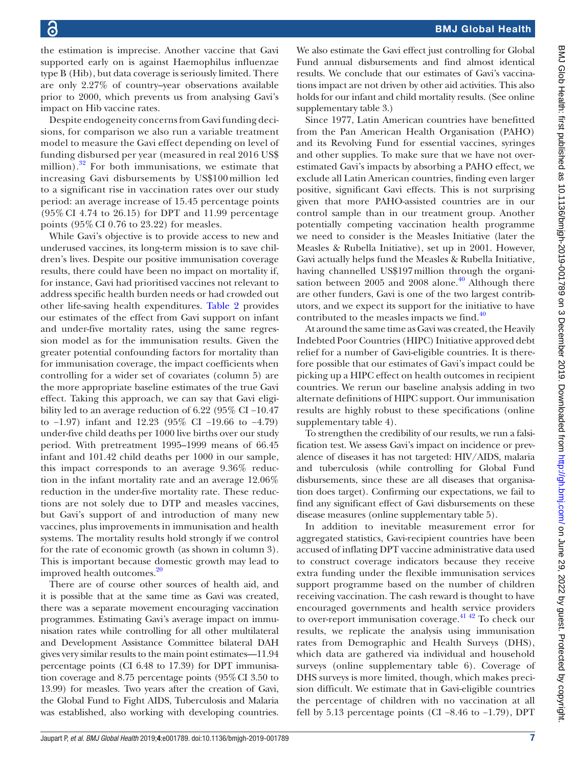the estimation is imprecise. Another vaccine that Gavi supported early on is against Haemophilus influenzae type B (Hib), but data coverage is seriously limited. There are only 2.27% of country–year observations available prior to 2000, which prevents us from analysing Gavi's impact on Hib vaccine rates.

Despite endogeneity concerns from Gavi funding decisions, for comparison we also run a variable treatment model to measure the Gavi effect depending on level of funding disbursed per year (measured in real 2016 US\$ million). $32$  For both immunisations, we estimate that increasing Gavi disbursements by US\$100 million led to a significant rise in vaccination rates over our study period: an average increase of 15.45 percentage points (95% CI 4.74 to 26.15) for DPT and 11.99 percentage points (95% CI 0.76 to 23.22) for measles.

While Gavi's objective is to provide access to new and underused vaccines, its long-term mission is to save children's lives. Despite our positive immunisation coverage results, there could have been no impact on mortality if, for instance, Gavi had prioritised vaccines not relevant to address specific health burden needs or had crowded out other life-saving health expenditures. [Table](#page-7-0) 2 provides our estimates of the effect from Gavi support on infant and under-five mortality rates, using the same regression model as for the immunisation results. Given the greater potential confounding factors for mortality than for immunisation coverage, the impact coefficients when controlling for a wider set of covariates (column 5) are the more appropriate baseline estimates of the true Gavi effect. Taking this approach, we can say that Gavi eligibility led to an average reduction of 6.22 (95% CI −10.47 to −1.97) infant and 12.23 (95% CI −19.66 to −4.79) under-five child deaths per 1000 live births over our study period. With pretreatment 1995–1999 means of 66.45 infant and 101.42 child deaths per 1000 in our sample, this impact corresponds to an average 9.36% reduction in the infant mortality rate and an average 12.06% reduction in the under-five mortality rate. These reductions are not solely due to DTP and measles vaccines, but Gavi's support of and introduction of many new vaccines, plus improvements in immunisation and health systems. The mortality results hold strongly if we control for the rate of economic growth (as shown in column 3). This is important because domestic growth may lead to improved health outcomes.<sup>20</sup>

There are of course other sources of health aid, and it is possible that at the same time as Gavi was created, there was a separate movement encouraging vaccination programmes. Estimating Gavi's average impact on immunisation rates while controlling for all other multilateral and Development Assistance Committee bilateral DAH gives very similar results to the main point estimates—11.94 percentage points (CI 6.48 to 17.39) for DPT immunisation coverage and 8.75 percentage points (95%CI 3.50 to 13.99) for measles. Two years after the creation of Gavi, the Global Fund to Fight AIDS, Tuberculosis and Malaria was established, also working with developing countries.

We also estimate the Gavi effect just controlling for Global Fund annual disbursements and find almost identical results. We conclude that our estimates of Gavi's vaccinations impact are not driven by other aid activities. This also holds for our infant and child mortality results. (See [online](https://dx.doi.org/10.1136/bmjgh-2019-001789) [supplementary table 3](https://dx.doi.org/10.1136/bmjgh-2019-001789).)

Since 1977, Latin American countries have benefitted from the Pan American Health Organisation (PAHO) and its Revolving Fund for essential vaccines, syringes and other supplies. To make sure that we have not overestimated Gavi's impacts by absorbing a PAHO effect, we exclude all Latin American countries, finding even larger positive, significant Gavi effects. This is not surprising given that more PAHO-assisted countries are in our control sample than in our treatment group. Another potentially competing vaccination health programme we need to consider is the Measles Initiative (later the Measles & Rubella Initiative), set up in 2001. However, Gavi actually helps fund the Measles & Rubella Initiative, having channelled US\$197million through the organisation between 2005 and 2008 alone. $40$  Although there are other funders, Gavi is one of the two largest contributors, and we expect its support for the initiative to have contributed to the measles impacts we find.<sup>[40](#page-10-12)</sup>

At around the same time as Gavi was created, the Heavily Indebted Poor Countries (HIPC) Initiative approved debt relief for a number of Gavi-eligible countries. It is therefore possible that our estimates of Gavi's impact could be picking up a HIPC effect on health outcomes in recipient countries. We rerun our baseline analysis adding in two alternate definitions of HIPC support. Our immunisation results are highly robust to these specifications [\(online](https://dx.doi.org/10.1136/bmjgh-2019-001789) [supplementary table 4](https://dx.doi.org/10.1136/bmjgh-2019-001789)).

To strengthen the credibility of our results, we run a falsification test. We assess Gavi's impact on incidence or prevalence of diseases it has not targeted: HIV/AIDS, malaria and tuberculosis (while controlling for Global Fund disbursements, since these are all diseases that organisation does target). Confirming our expectations, we fail to find any significant effect of Gavi disbursements on these disease measures ([online supplementary table 5\)](https://dx.doi.org/10.1136/bmjgh-2019-001789).

In addition to inevitable measurement error for aggregated statistics, Gavi-recipient countries have been accused of inflating DPT vaccine administrative data used to construct coverage indicators because they receive extra funding under the flexible immunisation services support programme based on the number of children receiving vaccination. The cash reward is thought to have encouraged governments and health service providers to over-report immunisation coverage.<sup>[41 42](#page-10-13)</sup> To check our results, we replicate the analysis using immunisation rates from Demographic and Health Surveys (DHS), which data are gathered via individual and household surveys ([online supplementary table 6](https://dx.doi.org/10.1136/bmjgh-2019-001789)). Coverage of DHS surveys is more limited, though, which makes precision difficult. We estimate that in Gavi-eligible countries the percentage of children with no vaccination at all fell by 5.13 percentage points (CI −8.46 to −1.79), DPT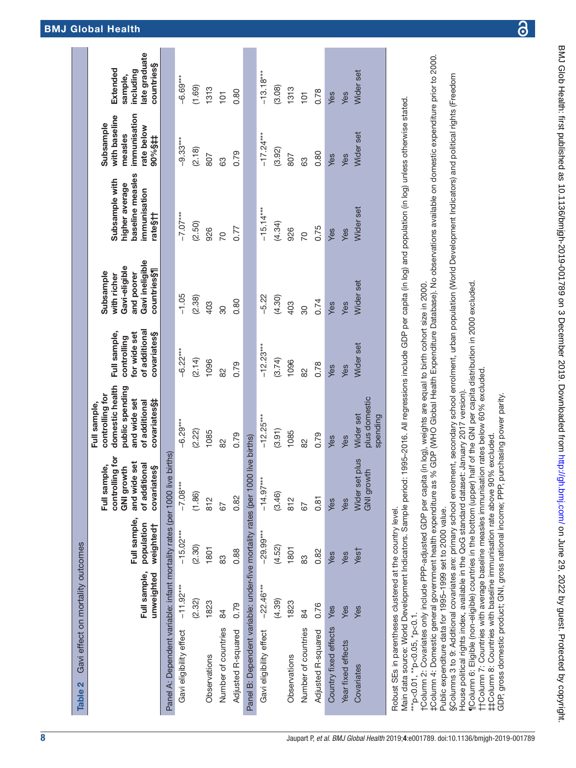| <b>Table 2</b>                                                                                                                                                                                                                          | Gavi effect on mortality outcomes |                                         |                                                                                                           |                                                                                                                         |                                                                             |                                                                                           |                                                                                 |                                                                               |                                                                 |
|-----------------------------------------------------------------------------------------------------------------------------------------------------------------------------------------------------------------------------------------|-----------------------------------|-----------------------------------------|-----------------------------------------------------------------------------------------------------------|-------------------------------------------------------------------------------------------------------------------------|-----------------------------------------------------------------------------|-------------------------------------------------------------------------------------------|---------------------------------------------------------------------------------|-------------------------------------------------------------------------------|-----------------------------------------------------------------|
|                                                                                                                                                                                                                                         | Full sample,<br>unweighted        | Full sample,<br>population<br>weighted† | controlling for<br>de set<br>of additional<br>Full sample,<br>covariates§<br><b>GNI growth</b><br>and wid | domestic health<br>public spending<br>controlling for<br>and wide set<br>covariates\$‡<br>of additional<br>Full sample, | of additional<br>for wide set<br>Full sample,<br>covariates§<br>controlling | Gavi ineligible<br>Gavi-eligible<br>countries§¶<br>Subsample<br>and poorer<br>with richer | baseline measles<br>Subsample with<br>higher average<br>immunisation<br>rate§†† | immunisation<br>with baseline<br>Subsample<br>rate below<br>measles<br>#\$%06 | late graduate<br>countries§<br>Extended<br>including<br>sample, |
| Panel A: Dependent variable: infant mortality rates (per 1000 live births)                                                                                                                                                              |                                   |                                         |                                                                                                           |                                                                                                                         |                                                                             |                                                                                           |                                                                                 |                                                                               |                                                                 |
| Gavi eligibility effect                                                                                                                                                                                                                 | $-11.92***$                       | $-15.02***$                             | $-7.08***$                                                                                                | $-6.29***$                                                                                                              | $-6.22***$                                                                  | $-1.05$                                                                                   | $-7.07***$                                                                      | $-9.33***$                                                                    | $-6.69***$                                                      |
|                                                                                                                                                                                                                                         | (2.32)                            | (2.30)                                  | (1.86)                                                                                                    | (2.22)                                                                                                                  | (2.14)                                                                      | (2.38)                                                                                    | (2.50)                                                                          | (2.18)                                                                        | (1.69)                                                          |
| Observations                                                                                                                                                                                                                            | 1823                              | 1801                                    | 812                                                                                                       | 1085                                                                                                                    | 1096                                                                        | 403                                                                                       | 926                                                                             | 807                                                                           | 1313                                                            |
| Number of countries                                                                                                                                                                                                                     | 84                                | 83                                      | 59                                                                                                        | 82                                                                                                                      | 82                                                                          | 30                                                                                        | 20                                                                              | 83                                                                            | $\overline{5}$                                                  |
| Adjusted R-squared                                                                                                                                                                                                                      | 0.79                              | 0.88                                    | 0.82                                                                                                      | 0.79                                                                                                                    | 0.79                                                                        | 0.80                                                                                      | 0.77                                                                            | 0.79                                                                          | 0.80                                                            |
| Panel B: Dependent variable: under-five mortality rates (per 1000 live births)                                                                                                                                                          |                                   |                                         |                                                                                                           |                                                                                                                         |                                                                             |                                                                                           |                                                                                 |                                                                               |                                                                 |
| Gavi eligibility effect                                                                                                                                                                                                                 | $-22.46***$                       | $-29.99***$                             | $-14.97***$                                                                                               | $-12.25***$                                                                                                             | $-12.23***$                                                                 | $-5.22$                                                                                   | $-15.14***$                                                                     | $-17.24***$                                                                   | $-13.18***$                                                     |
|                                                                                                                                                                                                                                         | (4.39)                            | (4.52)                                  | (3.46)                                                                                                    | (3.91)                                                                                                                  | (3.74)                                                                      | (4.30)                                                                                    | (4.34)                                                                          | (3.92)                                                                        | (3.08)                                                          |
| Observations                                                                                                                                                                                                                            | 1823                              | 1801                                    | 812                                                                                                       | 1085                                                                                                                    | 1096                                                                        | 403                                                                                       | 926                                                                             | 807                                                                           | 1313                                                            |
| Number of countries                                                                                                                                                                                                                     | 84                                | 83                                      | 52                                                                                                        | $\frac{2}{8}$                                                                                                           | 82                                                                          | 30                                                                                        | 50                                                                              | 63                                                                            | $\overline{5}$                                                  |
| Adjusted R-squared                                                                                                                                                                                                                      | 0.76                              | 0.82                                    | 0.81                                                                                                      | 0.79                                                                                                                    | 0.78                                                                        | 0.74                                                                                      | 0.75                                                                            | 0.80                                                                          | 0.78                                                            |
| Country fixed effects                                                                                                                                                                                                                   | Yes                               | Yes                                     | Yes                                                                                                       | Yes                                                                                                                     | Yes                                                                         | Yes                                                                                       | Yes                                                                             | Yes                                                                           | Yes                                                             |
| Year fixed effects                                                                                                                                                                                                                      | Yes                               | Yes                                     | Yes                                                                                                       | Yes                                                                                                                     | Yes                                                                         | Yes                                                                                       | Yes                                                                             | Yes                                                                           | Yes                                                             |
| Covariates                                                                                                                                                                                                                              | Yes                               | Yest                                    | Wider set plus<br><b>GNI growth</b>                                                                       | plus domestic<br>Wider set<br>spending                                                                                  | Wider set                                                                   | Wider set                                                                                 | Wider set                                                                       | Wider set                                                                     | Wider set                                                       |
| Main data source: World Development Indicators. Sample period: 1995–2016. All regressions include GDP per capita (in log) and population (in log) unless otherwise stated.<br>Robust SEs in parentheses clustered at the country level. |                                   |                                         |                                                                                                           |                                                                                                                         |                                                                             |                                                                                           |                                                                                 |                                                                               |                                                                 |

Main data source: World Development Indicators. Sample period: 1995–2016. All regressions include GDP per capita (in log) and population (in log) unless otherwise stated.  $\vec{a}$  $\mathrm{``p<}0.01$ ,  $\mathrm{``p<}0.05$ ,  $\mathrm{``p<}0.1$ .  $*$ \* $p<$ 0.01,  $*$   $p<$ 0.05,  $*$ p $<$ 0.1.

Column 2: Covariates only include PPP-adjusted GDP per capita (in log), weights are equal to birth cohort size in 2000. †Column 2: Covariates only include PPP-adjusted GDP per capita (in log), weights are equal to birth cohort size in 2000.

‡Column 4: Domestic general government health expenditure as % GDP (WHO Global Health Expenditure Database). No observations available on domestic expenditure prior to 2000. :Column 4: Domestic general government health expenditure as % GDP (WHO Global Health Expenditure Database). No observations available on domestic expenditure prior to 2000. Public expenditure data for 1995-1999 set to 2000 value. Public expenditure data for 1995–1999 set to 2000 value.

§Columns 3 to 9: Additional covariates are: primary school enrolment, secondary school enrolment, urban population (World Development Indicators) and political rights (Freedom §Columns 3 to 9: Additional covariates are: primary school enrolment, secondary school enrolment, urban population (World Development Indicators) and political rights (Freedom

douse political rights index, available in the QoG standard dataset: January 2017 version). House political rights index, available in the QoG standard dataset: January 2017 version).

[Column 6: Eligible (non-eligible) countries in the bottom (upper) half of the GNI per capita distribution in 2000 excluded. ¶Column 6: Eligible (non-eligible) countries in the bottom (upper) half of the GNI per capita distribution in 2000 excluded.

HColumn 7: Countries with average baseline measles immunisation rates below 60% excluded. ††Column 7: Countries with average baseline measles immunisation rates below 60% excluded.

<span id="page-7-0"></span>t‡Column 8: Countries with baseline immunisation rate above 90% excluded. ‡‡Column 8: Countries with baseline immunisation rate above 90% excluded.

GDP, gross domestic product; GNI, gross national income; PPP, purchasing power parity. GDP, gross domestic product; GNI, gross national income; PPP, purchasing power parity.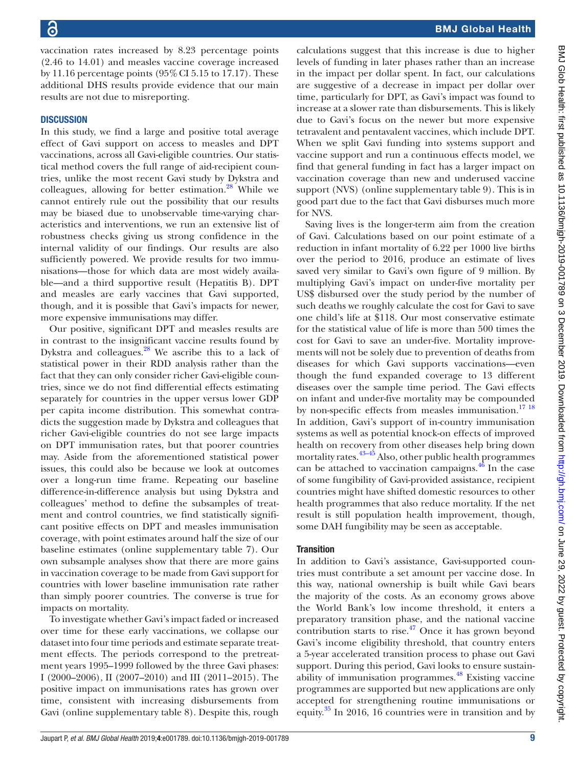vaccination rates increased by 8.23 percentage points (2.46 to 14.01) and measles vaccine coverage increased by 11.16 percentage points  $(95\% \text{ CI } 5.15 \text{ to } 17.17)$ . These additional DHS results provide evidence that our main results are not due to misreporting.

# **DISCUSSION**

In this study, we find a large and positive total average effect of Gavi support on access to measles and DPT vaccinations, across all Gavi-eligible countries. Our statistical method covers the full range of aid-recipient countries, unlike the most recent Gavi study by Dykstra and colleagues, allowing for better estimation.<sup>28</sup> While we cannot entirely rule out the possibility that our results may be biased due to unobservable time-varying characteristics and interventions, we run an extensive list of robustness checks giving us strong confidence in the internal validity of our findings. Our results are also sufficiently powered. We provide results for two immunisations—those for which data are most widely available—and a third supportive result (Hepatitis B). DPT and measles are early vaccines that Gavi supported, though, and it is possible that Gavi's impacts for newer, more expensive immunisations may differ.

Our positive, significant DPT and measles results are in contrast to the insignificant vaccine results found by Dykstra and colleagues. $^{28}$  $^{28}$  $^{28}$  We ascribe this to a lack of statistical power in their RDD analysis rather than the fact that they can only consider richer Gavi-eligible countries, since we do not find differential effects estimating separately for countries in the upper versus lower GDP per capita income distribution. This somewhat contradicts the suggestion made by Dykstra and colleagues that richer Gavi-eligible countries do not see large impacts on DPT immunisation rates, but that poorer countries may. Aside from the aforementioned statistical power issues, this could also be because we look at outcomes over a long-run time frame. Repeating our baseline difference-in-difference analysis but using Dykstra and colleagues' method to define the subsamples of treatment and control countries, we find statistically significant positive effects on DPT and measles immunisation coverage, with point estimates around half the size of our baseline estimates [\(online supplementary table 7\)](https://dx.doi.org/10.1136/bmjgh-2019-001789). Our own subsample analyses show that there are more gains in vaccination coverage to be made from Gavi support for countries with lower baseline immunisation rate rather than simply poorer countries. The converse is true for impacts on mortality.

To investigate whether Gavi's impact faded or increased over time for these early vaccinations, we collapse our dataset into four time periods and estimate separate treatment effects. The periods correspond to the pretreatment years 1995–1999 followed by the three Gavi phases: I (2000–2006), II (2007–2010) and III (2011–2015). The positive impact on immunisations rates has grown over time, consistent with increasing disbursements from Gavi [\(online supplementary table 8\)](https://dx.doi.org/10.1136/bmjgh-2019-001789). Despite this, rough

calculations suggest that this increase is due to higher levels of funding in later phases rather than an increase in the impact per dollar spent. In fact, our calculations are suggestive of a decrease in impact per dollar over time, particularly for DPT, as Gavi's impact was found to increase at a slower rate than disbursements. This is likely due to Gavi's focus on the newer but more expensive tetravalent and pentavalent vaccines, which include DPT. When we split Gavi funding into systems support and vaccine support and run a continuous effects model, we find that general funding in fact has a larger impact on vaccination coverage than new and underused vaccine support (NVS) ([online supplementary table 9\)](https://dx.doi.org/10.1136/bmjgh-2019-001789). This is in good part due to the fact that Gavi disburses much more for NVS.

Saving lives is the longer-term aim from the creation of Gavi. Calculations based on our point estimate of a reduction in infant mortality of 6.22 per 1000 live births over the period to 2016, produce an estimate of lives saved very similar to Gavi's own figure of 9 million. By multiplying Gavi's impact on under-five mortality per US\$ disbursed over the study period by the number of such deaths we roughly calculate the cost for Gavi to save one child's life at \$118. Our most conservative estimate for the statistical value of life is more than 500 times the cost for Gavi to save an under-five. Mortality improvements will not be solely due to prevention of deaths from diseases for which Gavi supports vaccinations—even though the fund expanded coverage to 13 different diseases over the sample time period. The Gavi effects on infant and under-five mortality may be compounded by non-specific effects from measles immunisation.<sup>17</sup><sup>18</sup> In addition, Gavi's support of in-country immunisation systems as well as potential knock-on effects of improved health on recovery from other diseases help bring down mortality rates.<sup>[43–45](#page-10-14)</sup> Also, other public health programmes can be attached to vaccination campaigns.<sup>[46](#page-10-15)</sup> In the case of some fungibility of Gavi-provided assistance, recipient countries might have shifted domestic resources to other health programmes that also reduce mortality. If the net result is still population health improvement, though, some DAH fungibility may be seen as acceptable.

# **Transition**

In addition to Gavi's assistance, Gavi-supported countries must contribute a set amount per vaccine dose. In this way, national ownership is built while Gavi bears the majority of the costs. As an economy grows above the World Bank's low income threshold, it enters a preparatory transition phase, and the national vaccine contribution starts to rise. $47$  Once it has grown beyond Gavi's income eligibility threshold, that country enters a 5-year accelerated transition process to phase out Gavi support. During this period, Gavi looks to ensure sustainability of immunisation programmes.<sup>48</sup> Existing vaccine programmes are supported but new applications are only accepted for strengthening routine immunisations or equity. $35 \text{ In } 2016$ , 16 countries were in transition and by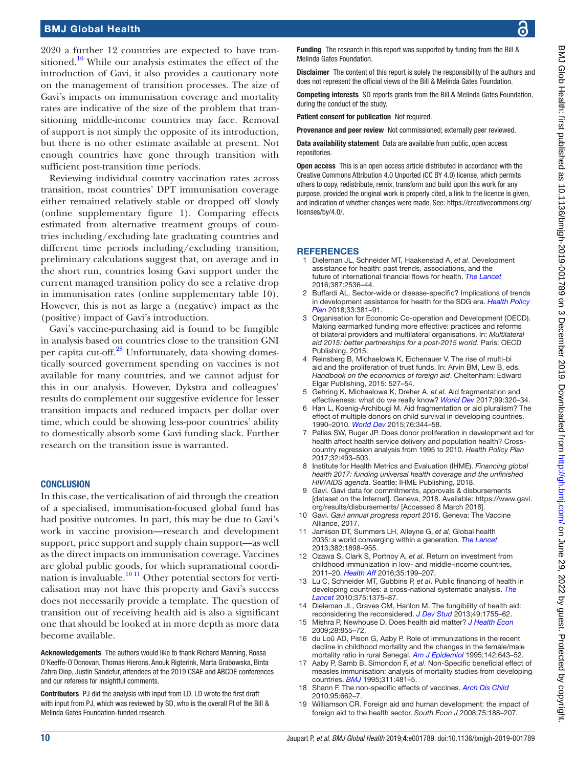2020 a further 12 countries are expected to have tran-sitioned.<sup>[10](#page-9-5)</sup> While our analysis estimates the effect of the introduction of Gavi, it also provides a cautionary note on the management of transition processes. The size of Gavi's impacts on immunisation coverage and mortality rates are indicative of the size of the problem that transitioning middle-income countries may face. Removal of support is not simply the opposite of its introduction, but there is no other estimate available at present. Not enough countries have gone through transition with sufficient post-transition time periods.

Reviewing individual country vaccination rates across transition, most countries' DPT immunisation coverage either remained relatively stable or dropped off slowly ([online supplementary figure 1\)](https://dx.doi.org/10.1136/bmjgh-2019-001789). Comparing effects estimated from alternative treatment groups of countries including/excluding late graduating countries and different time periods including/excluding transition, preliminary calculations suggest that, on average and in the short run, countries losing Gavi support under the current managed transition policy do see a relative drop in immunisation rates ([online supplementary table 10\)](https://dx.doi.org/10.1136/bmjgh-2019-001789). However, this is not as large a (negative) impact as the (positive) impact of Gavi's introduction.

Gavi's vaccine-purchasing aid is found to be fungible in analysis based on countries close to the transition GNI per capita cut-off.<sup>28</sup> Unfortunately, data showing domestically sourced government spending on vaccines is not available for many countries, and we cannot adjust for this in our analysis. However, Dykstra and colleagues' results do complement our suggestive evidence for lesser transition impacts and reduced impacts per dollar over time, which could be showing less-poor countries' ability to domestically absorb some Gavi funding slack. Further research on the transition issue is warranted.

### **CONCLUSION**

In this case, the verticalisation of aid through the creation of a specialised, immunisation-focused global fund has had positive outcomes. In part, this may be due to Gavi's work in vaccine provision—research and development support, price support and supply chain support—as well as the direct impacts on immunisation coverage. Vaccines are global public goods, for which supranational coordination is invaluable. $1011$  Other potential sectors for verticalisation may not have this property and Gavi's success does not necessarily provide a template. The question of transition out of receiving health aid is also a significant one that should be looked at in more depth as more data become available.

Acknowledgements The authors would like to thank Richard Manning, Rossa O'Keeffe-O'Donovan, Thomas Hierons, Anouk Rigterink, Marta Grabowska, Binta Zahra Diop, Justin Sandefur, attendees at the 2019 CSAE and ABCDE conferences and our referees for insightful comments.

Contributors PJ did the analysis with input from LD. LD wrote the first draft with input from PJ, which was reviewed by SD, who is the overall PI of the Bill & Melinda Gates Foundation-funded research.

BMJ Glob Health: first published as 10.1136/bmjgh-2019-001789 on 3 December 2019. Downloaded from http://gh.bmj.com/ on June 29, 2022 by guest. Protected by copyright BMJ Glob Health: first published as 10.1136/bmjgh-2019-001789 on 3 December 2019. Downloaded from <http://gh.bmj.com/> on June 29, 2022 by guest. Protected by copyright

Funding The research in this report was supported by funding from the Bill & Melinda Gates Foundation.

Disclaimer The content of this report is solely the responsibility of the authors and does not represent the official views of the Bill & Melinda Gates Foundation.

Competing interests SD reports grants from the Bill & Melinda Gates Foundation, during the conduct of the study.

Patient consent for publication Not required.

Provenance and peer review Not commissioned; externally peer reviewed.

Data availability statement Data are available from public, open access repositories.

Open access This is an open access article distributed in accordance with the Creative Commons Attribution 4.0 Unported (CC BY 4.0) license, which permits others to copy, redistribute, remix, transform and build upon this work for any purpose, provided the original work is properly cited, a link to the licence is given, and indication of whether changes were made. See: [https://creativecommons.org/](https://creativecommons.org/licenses/by/4.0/) [licenses/by/4.0/](https://creativecommons.org/licenses/by/4.0/).

#### **REFERENCES**

- <span id="page-9-0"></span>1 Dieleman JL, Schneider MT, Haakenstad A, *et al*. Development assistance for health: past trends, associations, and the future of international financial flows for health. *[The Lancet](http://dx.doi.org/10.1016/S0140-6736(16)30168-4)* 2016;387:2536–44.
- 2 Buffardi AL. Sector-wide or disease-specific? Implications of trends in development assistance for health for the SDG era. *[Health Policy](http://dx.doi.org/10.1093/heapol/czx181)  [Plan](http://dx.doi.org/10.1093/heapol/czx181)* 2018;33:381–91.
- <span id="page-9-1"></span>3 Organisation for Economic Co-operation and Development (OECD). Making earmarked funding more effective: practices and reforms of bilateral providers and multilateral organisations. In: *Multilateral aid 2015: better partnerships for a post-2015 world*. Paris: OECD Publishing, 2015.
- 4 Reinsberg B, Michaelowa K, Eichenauer V. The rise of multi-bi aid and the proliferation of trust funds. In: Arvin BM, Lew B, eds. *Handbook on the economics of foreign aid*. Cheltenham: Edward Elgar Publishing, 2015: 527–54.
- <span id="page-9-2"></span>5 Gehring K, Michaelowa K, Dreher A, *et al*. Aid fragmentation and effectiveness: what do we really know? *[World Dev](http://dx.doi.org/10.1016/j.worlddev.2017.05.019)* 2017;99:320–34.
- 6 Han L, Koenig-Archibugi M. Aid fragmentation or aid pluralism? The effect of multiple donors on child survival in developing countries, 1990–2010. *[World Dev](http://dx.doi.org/10.1016/j.worlddev.2015.07.014)* 2015;76:344–58.
- Pallas SW, Ruger JP. Does donor proliferation in development aid for health affect health service delivery and population health? Crosscountry regression analysis from 1995 to 2010. *Health Policy Plan* 2017;32:493–503.
- <span id="page-9-3"></span>8 Institute for Health Metrics and Evaluation (IHME). *Financing global health 2017: funding universal health coverage and the unfinished HIV/AIDS agenda*. Seattle: IHME Publishing, 2018.
- <span id="page-9-4"></span>Gavi. Gavi data for commitments, approvals & disbursements [dataset on the Internet]. Geneva, 2018. Available: [https://www.gavi.](https://www.gavi.org/results/disbursements/) [org/results/disbursements/](https://www.gavi.org/results/disbursements/) [Accessed 8 March 2018].
- <span id="page-9-5"></span>10 Gavi. *Gavi annual progress report 2016*. Geneva: The Vaccine Alliance, 2017.
- <span id="page-9-6"></span>11 Jamison DT, Summers LH, Alleyne G, *et al*. Global health 2035: a world converging within a generation. *[The Lancet](http://dx.doi.org/10.1016/S0140-6736(13)62105-4)* 2013;382:1898–955.
- <span id="page-9-7"></span>12 Ozawa S, Clark S, Portnoy A, *et al*. Return on investment from childhood immunization in low- and middle-income countries, 2011–20. *[Health Aff](http://dx.doi.org/10.1377/hlthaff.2015.1086)* 2016;35:199–207.
- <span id="page-9-8"></span>13 Lu C, Schneider MT, Gubbins P, *et al*. Public financing of health in developing countries: a cross-national systematic analysis. *[The](http://dx.doi.org/10.1016/S0140-6736(10)60233-4)  [Lancet](http://dx.doi.org/10.1016/S0140-6736(10)60233-4)* 2010;375:1375–87.
- 14 Dieleman JL, Graves CM, Hanlon M. The fungibility of health aid: reconsidering the reconsidered. *[J Dev Stud](http://dx.doi.org/10.1080/00220388.2013.844921)* 2013;49:1755–62.
- 15 Mishra P, Newhouse D. Does health aid matter? *[J Health Econ](http://dx.doi.org/10.1016/j.jhealeco.2009.05.004)* 2009;28:855–72.
- <span id="page-9-9"></span>16 du Loû AD, Pison G, Aaby P. Role of immunizations in the recent decline in childhood mortality and the changes in the female/male mortality ratio in rural Senegal. *[Am J Epidemiol](http://dx.doi.org/10.1093/oxfordjournals.aje.a117688)* 1995;142:643–52.
- <span id="page-9-10"></span>17 Aaby P, Samb B, Simondon F, *et al*. Non-Specific beneficial effect of measles immunisation: analysis of mortality studies from developing countries. *[BMJ](http://dx.doi.org/10.1136/bmj.311.7003.481)* 1995;311:481–5.
- 18 Shann F. The non-specific effects of vaccines. *[Arch Dis Child](http://dx.doi.org/10.1136/adc.2009.157537)* 2010;95:662–7.
- <span id="page-9-11"></span>19 Williamson CR. Foreign aid and human development: the impact of foreign aid to the health sector. *South Econ J* 2008;75:188–207.